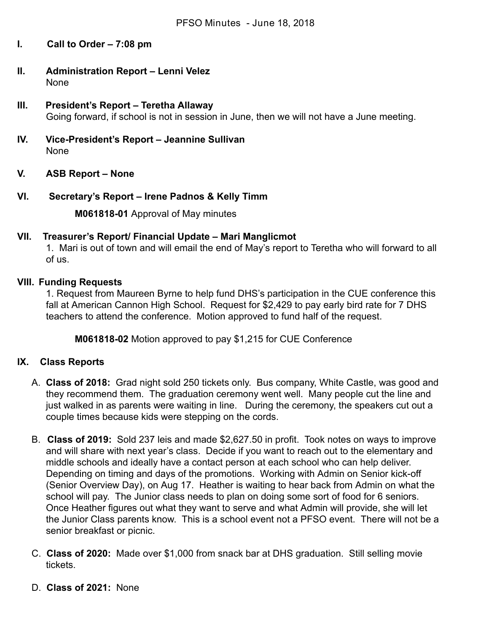- **I. Call to Order 7:08 pm**
- **II. Administration Report Lenni Velez** None
- **III. President's Report Teretha Allaway** Going forward, if school is not in session in June, then we will not have a June meeting.
- **IV.** Vice-President's Report Jeannine Sullivan None
- **V. ASB Report None**
- **VI. Secretary's Report Irene Padnos & Kelly Timm**

**M061818-01** Approval of May minutes

### **VII. Treasurer's Report/ Financial Update – Mari Manglicmot**

1. Mari is out of town and will email the end of May's report to Teretha who will forward to all of us.

### **VIII. Funding Requests**

1. Request from Maureen Byrne to help fund DHS's participation in the CUE conference this fall at American Cannon High School. Request for \$2,429 to pay early bird rate for 7 DHS teachers to attend the conference. Motion approved to fund half of the request.

**M061818-02** Motion approved to pay \$1,215 for CUE Conference

### **IX. Class Reports**

- A. **Class of 2018:** Grad night sold 250 tickets only. Bus company, White Castle, was good and they recommend them. The graduation ceremony went well. Many people cut the line and just walked in as parents were waiting in line. During the ceremony, the speakers cut out a couple times because kids were stepping on the cords.
- B. **Class of 2019:**  Sold 237 leis and made \$2,627.50 in profit. Took notes on ways to improve and will share with next year's class. Decide if you want to reach out to the elementary and middle schools and ideally have a contact person at each school who can help deliver. Depending on timing and days of the promotions. Working with Admin on Senior kick-off (Senior Overview Day), on Aug 17. Heather is waiting to hear back from Admin on what the school will pay. The Junior class needs to plan on doing some sort of food for 6 seniors. Once Heather figures out what they want to serve and what Admin will provide, she will let the Junior Class parents know. This is a school event not a PFSO event. There will not be a senior breakfast or picnic.
- C. **Class of 2020:**  Made over \$1,000 from snack bar at DHS graduation. Still selling movie tickets.
- D. **Class of 2021:** None